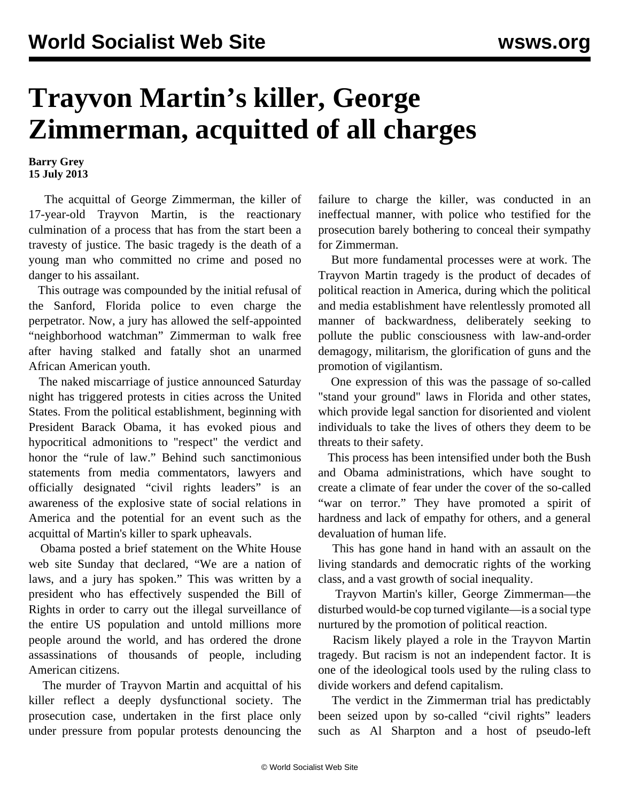## **Trayvon Martin's killer, George Zimmerman, acquitted of all charges**

## **Barry Grey 15 July 2013**

 The acquittal of George Zimmerman, the killer of 17-year-old Trayvon Martin, is the reactionary culmination of a process that has from the start been a travesty of justice. The basic tragedy is the death of a young man who committed no crime and posed no danger to his assailant.

 This outrage was compounded by the initial refusal of the Sanford, Florida police to even charge the perpetrator. Now, a jury has allowed the self-appointed "neighborhood watchman" Zimmerman to walk free after having stalked and fatally shot an unarmed African American youth.

 The naked miscarriage of justice announced Saturday night has triggered protests in cities across the United States. From the political establishment, beginning with President Barack Obama, it has evoked pious and hypocritical admonitions to "respect" the verdict and honor the "rule of law." Behind such sanctimonious statements from media commentators, lawyers and officially designated "civil rights leaders" is an awareness of the explosive state of social relations in America and the potential for an event such as the acquittal of Martin's killer to spark upheavals.

 Obama posted a brief statement on the White House web site Sunday that declared, "We are a nation of laws, and a jury has spoken." This was written by a president who has effectively suspended the Bill of Rights in order to carry out the illegal surveillance of the entire US population and untold millions more people around the world, and has ordered the drone assassinations of thousands of people, including American citizens.

 The murder of Trayvon Martin and acquittal of his killer reflect a deeply dysfunctional society. The prosecution case, undertaken in the first place only under pressure from popular protests denouncing the failure to charge the killer, was conducted in an ineffectual manner, with police who testified for the prosecution barely bothering to conceal their sympathy for Zimmerman.

 But more fundamental processes were at work. The Trayvon Martin tragedy is the product of decades of political reaction in America, during which the political and media establishment have relentlessly promoted all manner of backwardness, deliberately seeking to pollute the public consciousness with law-and-order demagogy, militarism, the glorification of guns and the promotion of vigilantism.

 One expression of this was the passage of so-called "stand your ground" laws in Florida and other states, which provide legal sanction for disoriented and violent individuals to take the lives of others they deem to be threats to their safety.

 This process has been intensified under both the Bush and Obama administrations, which have sought to create a climate of fear under the cover of the so-called "war on terror." They have promoted a spirit of hardness and lack of empathy for others, and a general devaluation of human life.

 This has gone hand in hand with an assault on the living standards and democratic rights of the working class, and a vast growth of social inequality.

 Trayvon Martin's killer, George Zimmerman—the disturbed would-be cop turned vigilante—is a social type nurtured by the promotion of political reaction.

 Racism likely played a role in the Trayvon Martin tragedy. But racism is not an independent factor. It is one of the ideological tools used by the ruling class to divide workers and defend capitalism.

 The verdict in the Zimmerman trial has predictably been seized upon by so-called "civil rights" leaders such as Al Sharpton and a host of pseudo-left